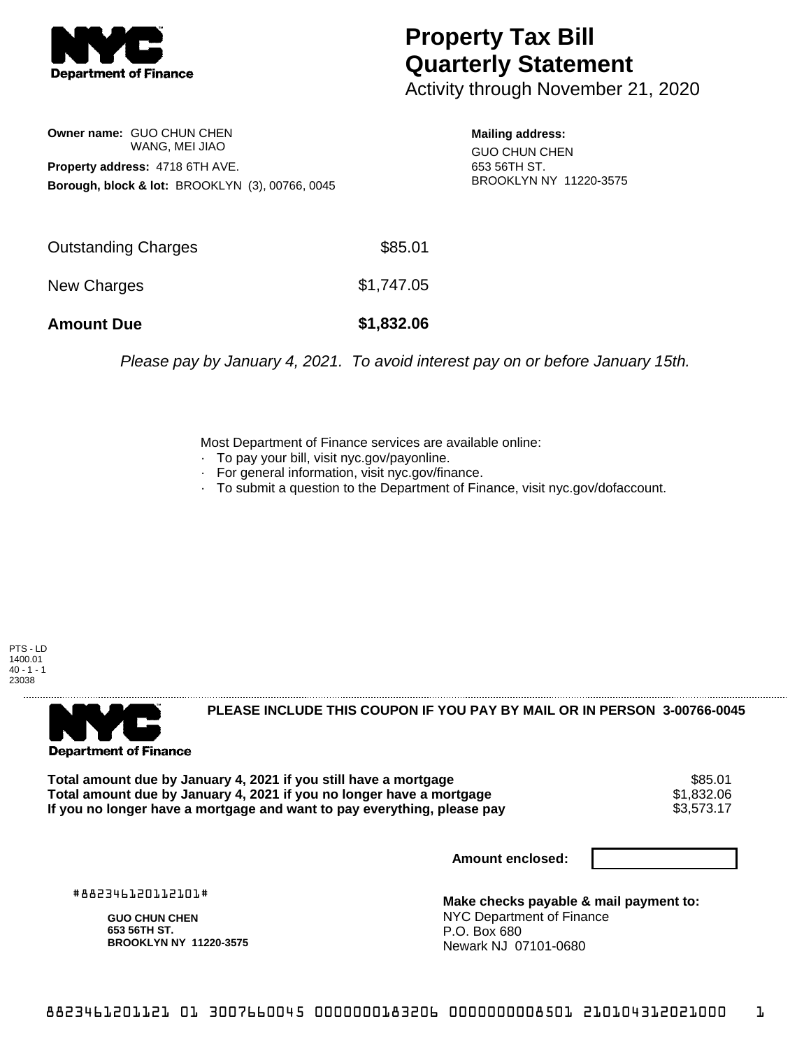

## **Property Tax Bill Quarterly Statement**

Activity through November 21, 2020

**Owner name:** GUO CHUN CHEN WANG, MEI JIAO **Property address:** 4718 6TH AVE. **Borough, block & lot:** BROOKLYN (3), 00766, 0045

**Mailing address:** GUO CHUN CHEN 653 56TH ST. BROOKLYN NY 11220-3575

| <b>Amount Due</b>          | \$1,832.06 |
|----------------------------|------------|
| New Charges                | \$1,747.05 |
| <b>Outstanding Charges</b> | \$85.01    |

Please pay by January 4, 2021. To avoid interest pay on or before January 15th.

Most Department of Finance services are available online:

- · To pay your bill, visit nyc.gov/payonline.
- For general information, visit nyc.gov/finance.
- · To submit a question to the Department of Finance, visit nyc.gov/dofaccount.

PTS - LD 1400.01  $40 - 1 - 1$ 23038



**PLEASE INCLUDE THIS COUPON IF YOU PAY BY MAIL OR IN PERSON 3-00766-0045** 

**Total amount due by January 4, 2021 if you still have a mortgage** \$85.01 **Total amount due by January 4, 2021 if you no longer have a mortgage**  $$1,832.06$ **<br>If you no longer have a mortgage and want to pay everything, please pay**  $$3.573.17$ If you no longer have a mortgage and want to pay everything, please pay

**Amount enclosed:**

#882346120112101#

**GUO CHUN CHEN 653 56TH ST. BROOKLYN NY 11220-3575**

**Make checks payable & mail payment to:** NYC Department of Finance P.O. Box 680 Newark NJ 07101-0680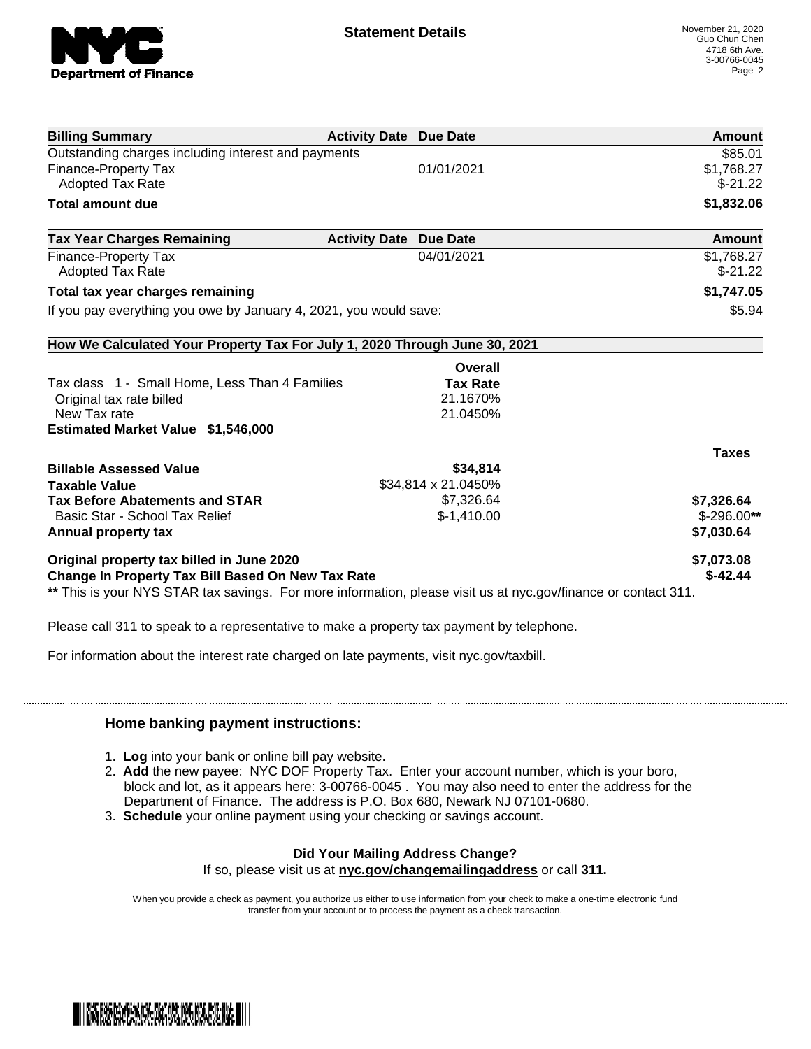

| <b>Billing Summary</b>                                                     | <b>Activity Date Due Date</b> | Amount       |
|----------------------------------------------------------------------------|-------------------------------|--------------|
| Outstanding charges including interest and payments                        |                               | \$85.01      |
| <b>Finance-Property Tax</b>                                                | 01/01/2021                    | \$1,768.27   |
| Adopted Tax Rate                                                           |                               | $$-21.22$    |
| <b>Total amount due</b>                                                    |                               | \$1,832.06   |
| <b>Tax Year Charges Remaining</b><br><b>Activity Date</b>                  | <b>Due Date</b>               | Amount       |
| <b>Finance-Property Tax</b>                                                | 04/01/2021                    | \$1,768.27   |
| <b>Adopted Tax Rate</b>                                                    |                               | $$-21.22$    |
| Total tax year charges remaining                                           |                               | \$1,747.05   |
| If you pay everything you owe by January 4, 2021, you would save:          |                               | \$5.94       |
| How We Calculated Your Property Tax For July 1, 2020 Through June 30, 2021 |                               |              |
|                                                                            | Overall                       |              |
| Tax class 1 - Small Home, Less Than 4 Families                             | <b>Tax Rate</b>               |              |
| Original tax rate billed                                                   | 21.1670%                      |              |
| New Tax rate                                                               | 21.0450%                      |              |
| <b>Estimated Market Value \$1,546,000</b>                                  |                               |              |
|                                                                            |                               | <b>Taxes</b> |
| <b>Billable Assessed Value</b>                                             | \$34,814                      |              |
| <b>Taxable Value</b>                                                       | \$34,814 x 21.0450%           |              |
| <b>Tax Before Abatements and STAR</b>                                      | \$7,326.64                    | \$7,326.64   |
| Basic Star - School Tax Relief                                             | $$-1,410.00$                  | $$-296.00**$ |
| Annual property tax                                                        |                               | \$7,030.64   |
| Original property tax billed in June 2020                                  |                               | \$7,073.08   |
|                                                                            |                               |              |

Please call 311 to speak to a representative to make a property tax payment by telephone.

For information about the interest rate charged on late payments, visit nyc.gov/taxbill.

## **Home banking payment instructions:**

- 1. **Log** into your bank or online bill pay website.
- 2. **Add** the new payee: NYC DOF Property Tax. Enter your account number, which is your boro, block and lot, as it appears here: 3-00766-0045 . You may also need to enter the address for the Department of Finance. The address is P.O. Box 680, Newark NJ 07101-0680.
- 3. **Schedule** your online payment using your checking or savings account.

## **Did Your Mailing Address Change?**

If so, please visit us at **nyc.gov/changemailingaddress** or call **311.**

When you provide a check as payment, you authorize us either to use information from your check to make a one-time electronic fund transfer from your account or to process the payment as a check transaction.